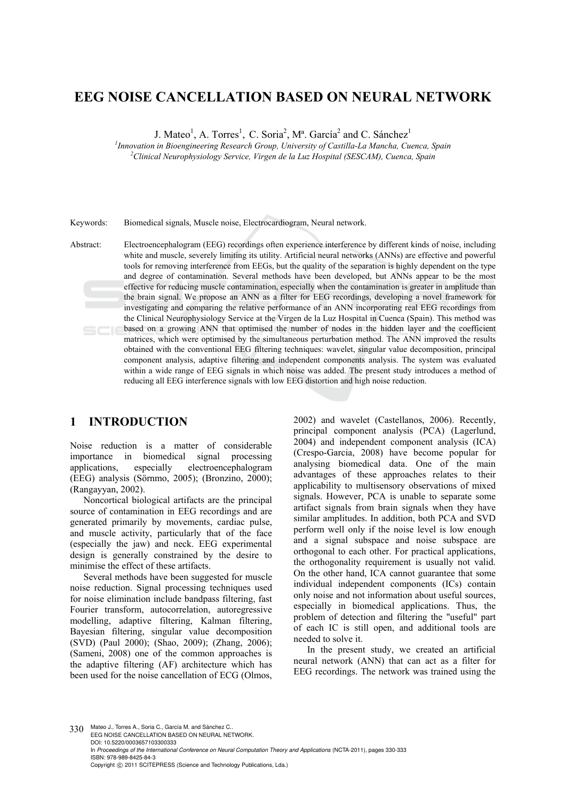# **EEG NOISE CANCELLATION BASED ON NEURAL NETWORK**

J. Mateo<sup>1</sup>, A. Torres<sup>1</sup>, C. Soria<sup>2</sup>, M<sup>a</sup>. García<sup>2</sup> and C. Sánchez<sup>1</sup>

<sup>1</sup> Innovation in Bioengineering Research Group, University of Castilla-La Mancha, Cuenca, Spain <sup>2</sup> Clinical Naunophusialacy Samise, Vinnon de la Luz Heavital (SESCAM), Cuenca, Spain *Clinical Neurophysiology Service, Virgen de la Luz Hospital (SESCAM), Cuenca, Spain* 

Keywords: Biomedical signals, Muscle noise, Electrocardiogram, Neural network.

Abstract: Electroencephalogram (EEG) recordings often experience interference by different kinds of noise, including white and muscle, severely limiting its utility. Artificial neural networks (ANNs) are effective and powerful tools for removing interference from EEGs, but the quality of the separation is highly dependent on the type and degree of contamination. Several methods have been developed, but ANNs appear to be the most effective for reducing muscle contamination, especially when the contamination is greater in amplitude than the brain signal. We propose an ANN as a filter for EEG recordings, developing a novel framework for investigating and comparing the relative performance of an ANN incorporating real EEG recordings from the Clinical Neurophysiology Service at the Virgen de la Luz Hospital in Cuenca (Spain). This method was based on a growing ANN that optimised the number of nodes in the hidden layer and the coefficient matrices, which were optimised by the simultaneous perturbation method. The ANN improved the results obtained with the conventional EEG filtering techniques: wavelet, singular value decomposition, principal component analysis, adaptive filtering and independent components analysis. The system was evaluated within a wide range of EEG signals in which noise was added. The present study introduces a method of reducing all EEG interference signals with low EEG distortion and high noise reduction.

### **1 INTRODUCTION**

Noise reduction is a matter of considerable importance in biomedical signal processing<br>applications. especially electroencephalogram applications, especially electroencephalogram (EEG) analysis (Sörnmo, 2005); (Bronzino, 2000); (Rangayyan, 2002).

Noncortical biological artifacts are the principal source of contamination in EEG recordings and are generated primarily by movements, cardiac pulse, and muscle activity, particularly that of the face (especially the jaw) and neck. EEG experimental design is generally constrained by the desire to minimise the effect of these artifacts.

Several methods have been suggested for muscle noise reduction. Signal processing techniques used for noise elimination include bandpass filtering, fast Fourier transform, autocorrelation, autoregressive modelling, adaptive filtering, Kalman filtering, Bayesian filtering, singular value decomposition (SVD) (Paul 2000); (Shao, 2009); (Zhang, 2006); (Sameni, 2008) one of the common approaches is the adaptive filtering (AF) architecture which has been used for the noise cancellation of ECG (Olmos,

2002) and wavelet (Castellanos, 2006). Recently, principal component analysis (PCA) (Lagerlund, 2004) and independent component analysis (ICA) (Crespo-Garcia, 2008) have become popular for analysing biomedical data. One of the main advantages of these approaches relates to their applicability to multisensory observations of mixed signals. However, PCA is unable to separate some artifact signals from brain signals when they have similar amplitudes. In addition, both PCA and SVD perform well only if the noise level is low enough and a signal subspace and noise subspace are orthogonal to each other. For practical applications, the orthogonality requirement is usually not valid. On the other hand, ICA cannot guarantee that some individual independent components (ICs) contain only noise and not information about useful sources, especially in biomedical applications. Thus, the problem of detection and filtering the "useful" part of each IC is still open, and additional tools are needed to solve it.

In the present study, we created an artificial neural network (ANN) that can act as a filter for EEG recordings. The network was trained using the

330 Mateo J., Torres A., Soria C., García M. and Sánchez C. EEG NOISE CANCELLATION BASED ON NEURAL NETWORK. DOI: 10.5220/0003657103300333 In *Proceedings of the International Conference on Neural Computation Theory and Applications* (NCTA-2011), pages 330-333 ISBN: 978-989-8425-84-3 Copyright © 2011 SCITEPRESS (Science and Technology Publications, Lda.)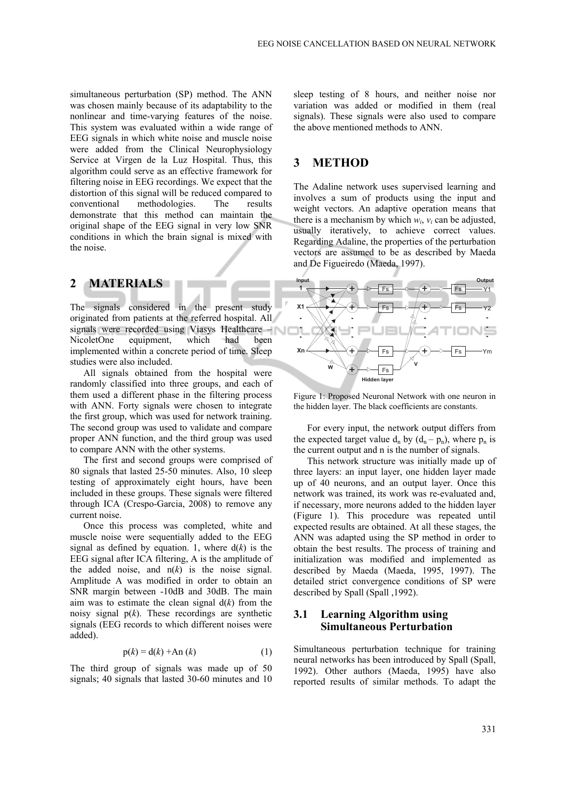simultaneous perturbation (SP) method. The ANN was chosen mainly because of its adaptability to the nonlinear and time-varying features of the noise. This system was evaluated within a wide range of EEG signals in which white noise and muscle noise were added from the Clinical Neurophysiology Service at Virgen de la Luz Hospital. Thus, this algorithm could serve as an effective framework for filtering noise in EEG recordings. We expect that the distortion of this signal will be reduced compared to conventional methodologies. The results demonstrate that this method can maintain the original shape of the EEG signal in very low SNR conditions in which the brain signal is mixed with the noise.

# **2 MATERIALS**

The signals considered in the present study originated from patients at the referred hospital. All signals were recorded using Viasys Healthcare – NicoletOne equipment, which had been implemented within a concrete period of time. Sleep studies were also included.

All signals obtained from the hospital were randomly classified into three groups, and each of them used a different phase in the filtering process with ANN. Forty signals were chosen to integrate the first group, which was used for network training. The second group was used to validate and compare proper ANN function, and the third group was used to compare ANN with the other systems.

The first and second groups were comprised of 80 signals that lasted 25-50 minutes. Also, 10 sleep testing of approximately eight hours, have been included in these groups. These signals were filtered through ICA (Crespo-Garcia, 2008) to remove any current noise.

Once this process was completed, white and muscle noise were sequentially added to the EEG signal as defined by equation. 1, where  $d(k)$  is the EEG signal after ICA filtering, A is the amplitude of the added noise, and  $n(k)$  is the noise signal. Amplitude A was modified in order to obtain an SNR margin between -10dB and 30dB. The main aim was to estimate the clean signal  $d(k)$  from the noisy signal  $p(k)$ . These recordings are synthetic signals (EEG records to which different noises were added).

$$
p(k) = d(k) + An(k)
$$
 (1)

The third group of signals was made up of 50 signals; 40 signals that lasted 30-60 minutes and 10 sleep testing of 8 hours, and neither noise nor variation was added or modified in them (real signals). These signals were also used to compare the above mentioned methods to ANN.

### **3 METHOD**

The Adaline network uses supervised learning and involves a sum of products using the input and weight vectors. An adaptive operation means that there is a mechanism by which  $w_i$ ,  $v_i$  can be adjusted, usually iteratively, to achieve correct values. Regarding Adaline, the properties of the perturbation vectors are assumed to be as described by Maeda and De Figueiredo (Maeda, 1997).



Figure 1: Proposed Neuronal Network with one neuron in the hidden layer. The black coefficients are constants.

For every input, the network output differs from the expected target value  $d_n$  by  $(d_n - p_n)$ , where  $p_n$  is the current output and n is the number of signals.

This network structure was initially made up of three layers: an input layer, one hidden layer made up of 40 neurons, and an output layer. Once this network was trained, its work was re-evaluated and, if necessary, more neurons added to the hidden layer (Figure 1). This procedure was repeated until expected results are obtained. At all these stages, the ANN was adapted using the SP method in order to obtain the best results. The process of training and initialization was modified and implemented as described by Maeda (Maeda, 1995, 1997). The detailed strict convergence conditions of SP were described by Spall (Spall ,1992).

#### **3.1 Learning Algorithm using Simultaneous Perturbation**

Simultaneous perturbation technique for training neural networks has been introduced by Spall (Spall, 1992). Other authors (Maeda, 1995) have also reported results of similar methods. To adapt the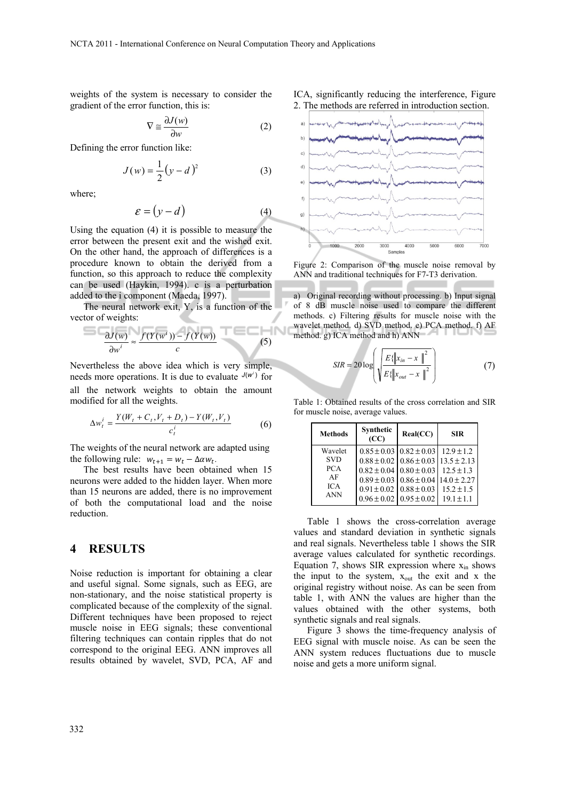weights of the system is necessary to consider the gradient of the error function, this is:

$$
\nabla \cong \frac{\partial J(w)}{\partial w} \tag{2}
$$

Defining the error function like:

$$
J(w) = \frac{1}{2}(y - d)^2
$$
 (3)

where;

$$
\varepsilon = (y - d) \tag{4}
$$

Using the equation (4) it is possible to measure the error between the present exit and the wished exit. On the other hand, the approach of differences is a procedure known to obtain the derived from a function, so this approach to reduce the complexity can be used (Haykin, 1994). c is a perturbation added to the i component (Maeda, 1997).

The neural network exit, Y, is a function of the vector of weights:

$$
\frac{\partial J(w)}{\partial w^i} \approx \frac{f(Y(w^i)) - f(Y(w))}{c} \tag{5}
$$

Nevertheless the above idea which is very simple, needs more operations. It is due to evaluate  $J(w^i)$  for all the network weights to obtain the amount modified for all the weights.

$$
\Delta w_t^i = \frac{Y(W_t + C_t, V_t + D_t) - Y(W_t, V_t)}{c_t^i}
$$
 (6)

The weights of the neural network are adapted using the following rule:  $w_{t+1} = w_t - \Delta \alpha w_t$ .

The best results have been obtained when 15 neurons were added to the hidden layer. When more than 15 neurons are added, there is no improvement of both the computational load and the noise reduction.

#### **4 RESULTS**

Noise reduction is important for obtaining a clear and useful signal. Some signals, such as EEG, are non-stationary, and the noise statistical property is complicated because of the complexity of the signal. Different techniques have been proposed to reject muscle noise in EEG signals; these conventional filtering techniques can contain ripples that do not correspond to the original EEG. ANN improves all results obtained by wavelet, SVD, PCA, AF and





Figure 2: Comparison of the muscle noise removal by ANN and traditional techniques for F7-T3 derivation.

a) Original recording without processing. b) Input signal of 8 dB muscle noise used to compare the different methods. c) Filtering results for muscle noise with the wavelet method. d) SVD method. e) PCA method. f) AF method. g) ICA method and h) ANN

$$
SIR = 20 \log \left( \sqrt{\frac{E\{\left\|x_{in} - x\right\|^2}{E\{\left\|x_{out} - x\right\|^2}\right)}} \right) \tag{7}
$$

Table 1: Obtained results of the cross correlation and SIR for muscle noise, average values.

| <b>Methods</b> | Synthetic<br>(CC)               | Real(CC)                                        | <b>SIR</b>     |
|----------------|---------------------------------|-------------------------------------------------|----------------|
| Wavelet        |                                 | $0.85 \pm 0.03$ $0.82 \pm 0.03$ 12.9 $\pm$ 1.2  |                |
| <b>SVD</b>     |                                 | $0.88 \pm 0.02$ $0.86 \pm 0.03$ $13.5 \pm 2.13$ |                |
| <b>PCA</b>     |                                 | $0.82 \pm 0.04$ 0.80 $\pm$ 0.03                 | $12.5 \pm 1.3$ |
| AF             |                                 | $0.89 \pm 0.03$ $0.86 \pm 0.04$ 14.0 ± 2.27     |                |
| <b>ICA</b>     |                                 | $0.91 \pm 0.02$ $0.88 \pm 0.03$                 | $15.2 \pm 1.5$ |
| <b>ANN</b>     | $0.96 \pm 0.02$ 0.95 $\pm$ 0.02 |                                                 | $19.1 \pm 1.1$ |

Table 1 shows the cross-correlation average values and standard deviation in synthetic signals and real signals. Nevertheless table 1 shows the SIR average values calculated for synthetic recordings. Equation 7, shows SIR expression where  $x_{in}$  shows the input to the system,  $x_{out}$  the exit and x the original registry without noise. As can be seen from table 1, with ANN the values are higher than the values obtained with the other systems, both synthetic signals and real signals.

Figure 3 shows the time-frequency analysis of EEG signal with muscle noise. As can be seen the ANN system reduces fluctuations due to muscle noise and gets a more uniform signal.